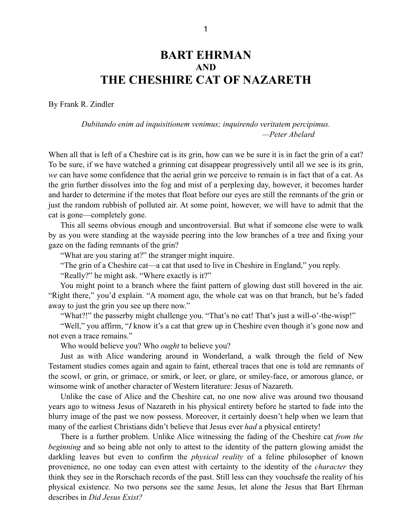# **BART EHRMAN AND THE CHESHIRE CAT OF NAZARETH**

By Frank R. Zindler

*Dubitando enim ad inquisitionem venimus; inquirendo veritatem percipimus. —Peter Abelard*

When all that is left of a Cheshire cat is its grin, how can we be sure it is in fact the grin of a cat? To be sure, if we have watched a grinning cat disappear progressively until all we see is its grin, *we* can have some confidence that the aerial grin we perceive to remain is in fact that of a cat. As the grin further dissolves into the fog and mist of a perplexing day, however, it becomes harder and harder to determine if the motes that float before our eyes are still the remnants of the grin or just the random rubbish of polluted air. At some point, however, we will have to admit that the cat is gone—completely gone.

 This all seems obvious enough and uncontroversial. But what if someone else were to walk by as you were standing at the wayside peering into the low branches of a tree and fixing your gaze on the fading remnants of the grin?

"What are you staring at?" the stranger might inquire.

"The grin of a Cheshire cat—a cat that used to live in Cheshire in England," you reply.

"Really?" he might ask. "Where exactly is it?"

 You might point to a branch where the faint pattern of glowing dust still hovered in the air. "Right there," you'd explain. "A moment ago, the whole cat was on that branch, but he's faded away to just the grin you see up there now."

"What?!" the passerby might challenge you. "That's no cat! That's just a will-o'-the-wisp!"

 "Well," you affirm, "*I* know it's a cat that grew up in Cheshire even though it's gone now and not even a trace remains."

Who would believe you? Who *ought* to believe you?

 Just as with Alice wandering around in Wonderland, a walk through the field of New Testament studies comes again and again to faint, ethereal traces that one is told are remnants of the scowl, or grin, or grimace, or smirk, or leer, or glare, or smiley-face, or amorous glance, or winsome wink of another character of Western literature: Jesus of Nazareth.

 Unlike the case of Alice and the Cheshire cat, no one now alive was around two thousand years ago to witness Jesus of Nazareth in his physical entirety before he started to fade into the blurry image of the past we now possess. Moreover, it certainly doesn't help when we learn that many of the earliest Christians didn't believe that Jesus ever *had* a physical entirety!

 There is a further problem. Unlike Alice witnessing the fading of the Cheshire cat *from the beginning* and so being able not only to attest to the identity of the pattern glowing amidst the darkling leaves but even to confirm the *physical reality* of a feline philosopher of known provenience, no one today can even attest with certainty to the identity of the *character* they think they see in the Rorschach records of the past. Still less can they vouchsafe the reality of his physical existence. No two persons see the same Jesus, let alone the Jesus that Bart Ehrman describes in *Did Jesus Exist?*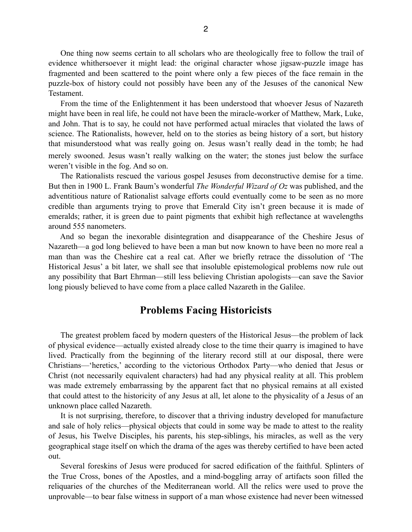One thing now seems certain to all scholars who are theologically free to follow the trail of evidence whithersoever it might lead: the original character whose jigsaw-puzzle image has fragmented and been scattered to the point where only a few pieces of the face remain in the puzzle-box of history could not possibly have been any of the Jesuses of the canonical New Testament.

 From the time of the Enlightenment it has been understood that whoever Jesus of Nazareth might have been in real life, he could not have been the miracle-worker of Matthew, Mark, Luke, and John. That is to say, he could not have performed actual miracles that violated the laws of science. The Rationalists, however, held on to the stories as being history of a sort, but history that misunderstood what was really going on. Jesus wasn't really dead in the tomb; he had merely swooned. Jesus wasn't really walking on the water; the stones just below the surface weren't visible in the fog. And so on.

 The Rationalists rescued the various gospel Jesuses from deconstructive demise for a time. But then in 1900 L. Frank Baum's wonderful *The Wonderful Wizard of Oz* was published, and the adventitious nature of Rationalist salvage efforts could eventually come to be seen as no more credible than arguments trying to prove that Emerald City isn't green because it is made of emeralds; rather, it is green due to paint pigments that exhibit high reflectance at wavelengths around 555 nanometers.

 And so began the inexorable disintegration and disappearance of the Cheshire Jesus of Nazareth—a god long believed to have been a man but now known to have been no more real a man than was the Cheshire cat a real cat. After we briefly retrace the dissolution of 'The Historical Jesus' a bit later, we shall see that insoluble epistemological problems now rule out any possibility that Bart Ehrman—still less believing Christian apologists—can save the Savior long piously believed to have come from a place called Nazareth in the Galilee.

#### **Problems Facing Historicists**

The greatest problem faced by modern questers of the Historical Jesus—the problem of lack of physical evidence—actually existed already close to the time their quarry is imagined to have lived. Practically from the beginning of the literary record still at our disposal, there were Christians—'heretics,' according to the victorious Orthodox Party—who denied that Jesus or Christ (not necessarily equivalent characters) had had any physical reality at all. This problem was made extremely embarrassing by the apparent fact that no physical remains at all existed that could attest to the historicity of any Jesus at all, let alone to the physicality of a Jesus of an unknown place called Nazareth.

 It is not surprising, therefore, to discover that a thriving industry developed for manufacture and sale of holy relics—physical objects that could in some way be made to attest to the reality of Jesus, his Twelve Disciples, his parents, his step-siblings, his miracles, as well as the very geographical stage itself on which the drama of the ages was thereby certified to have been acted out.

 Several foreskins of Jesus were produced for sacred edification of the faithful. Splinters of the True Cross, bones of the Apostles, and a mind-boggling array of artifacts soon filled the reliquaries of the churches of the Mediterranean world. All the relics were used to prove the unprovable—to bear false witness in support of a man whose existence had never been witnessed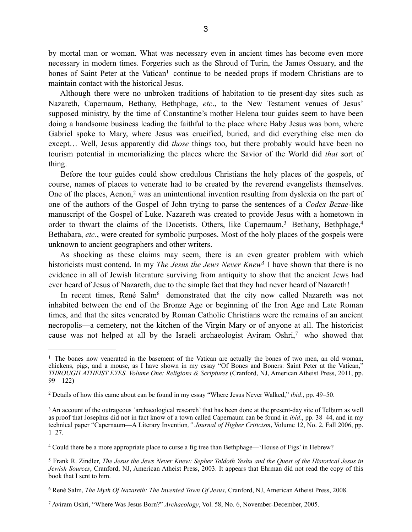by mortal man or woman. What was necessary even in ancient times has become even more necessary in modern times. Forgeries such as the Shroud of Turin, the James Ossuary, and the bones of Saint Peter at the Vatican<sup>1</sup> continue to be needed props if modern Christians are to maintain contact with the historical Jesus.

 Although there were no unbroken traditions of habitation to tie present-day sites such as Nazareth, Capernaum, Bethany, Bethphage, *etc*., to the New Testament venues of Jesus' supposed ministry, by the time of Constantine's mother Helena tour guides seem to have been doing a handsome business leading the faithful to the place where Baby Jesus was born, where Gabriel spoke to Mary, where Jesus was crucified, buried, and did everything else men do except… Well, Jesus apparently did *those* things too, but there probably would have been no tourism potential in memorializing the places where the Savior of the World did *that* sort of thing.

 Before the tour guides could show credulous Christians the holy places of the gospels, of course, names of places to venerate had to be created by the reverend evangelists themselves. One of the places, Aenon,<sup>[2](#page-2-1)</sup> was an unintentional invention resulting from dyslexia on the part of one of the authors of the Gospel of John trying to parse the sentences of a *Codex Bezae*-like manuscript of the Gospel of Luke. Nazareth was created to provide Jesus with a hometown in order to thwart the claims of the Docetists. Others, like Capernaum,<sup>[3](#page-2-2)</sup> Bethany, Bethphage,<sup>[4](#page-2-3)</sup> Bethabara, *etc*., were created for symbolic purposes. Most of the holy places of the gospels were unknown to ancient geographers and other writers.

 As shocking as these claims may seem, there is an even greater problem with which historicists must contend. In my *The Jesus the Jews Never Knew*<sup>5</sup> I have shown that there is no evidence in all of Jewish literature surviving from antiquity to show that the ancient Jews had ever heard of Jesus of Nazareth, due to the simple fact that they had never heard of Nazareth!

In recent times, René Salm<sup>6</sup> demonstrated that the city now called Nazareth was not inhabited between the end of the Bronze Age or beginning of the Iron Age and Late Roman times, and that the sites venerated by Roman Catholic Christians were the remains of an ancient necropolis—a cemetery, not the kitchen of the Virgin Mary or of anyone at all. The historicist cause was not helped at all by the Israeli archaeologist Aviram Oshri,[7](#page-2-6) who showed that

<span id="page-2-5"></span>6 René Salm, *The Myth Of Nazareth: The Invented Town Of Jesus*, Cranford, NJ, American Atheist Press, 2008.

<span id="page-2-0"></span> $1$  The bones now venerated in the basement of the Vatican are actually the bones of two men, an old woman, chickens, pigs, and a mouse, as I have shown in my essay "Of Bones and Boners: Saint Peter at the Vatican," *THROUGH ATHEIST EYES. Volume One: Religions & Scriptures* (Cranford, NJ, American Atheist Press, 2011, pp. 99—122)

<span id="page-2-1"></span><sup>2</sup> Details of how this came about can be found in my essay "Where Jesus Never Walked," *ibid*., pp. 49–50.

<span id="page-2-2"></span><sup>&</sup>lt;sup>3</sup> An account of the outrageous 'archaeological research' that has been done at the present-day site of Telḥum as well as proof that Josephus did not in fact know of a town called Capernaum can be found in *ibid*., pp. 38–44, and in my technical paper "Capernaum—A Literary Invention*," Journal of Higher Criticism*, Volume 12, No. 2, Fall 2006, pp. 1–27.

<span id="page-2-3"></span><sup>4</sup> Could there be a more appropriate place to curse a fig tree than Bethphage—'House of Figs' in Hebrew?

<span id="page-2-4"></span><sup>5</sup> Frank R. Zindler, *The Jesus the Jews Never Knew: Sepher Toldoth Yeshu and the Quest of the Historical Jesus in Jewish Sources*, Cranford, NJ, American Atheist Press, 2003. It appears that Ehrman did not read the copy of this book that I sent to him.

<span id="page-2-6"></span><sup>7</sup> Aviram Oshri, "Where Was Jesus Born?" *Archaeology*, Vol. 58, No. 6, November-December, 2005.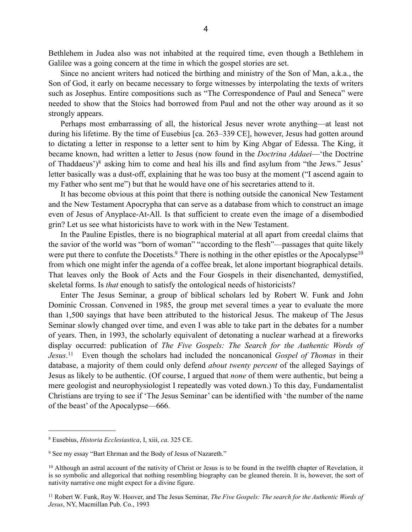Bethlehem in Judea also was not inhabited at the required time, even though a Bethlehem in Galilee was a going concern at the time in which the gospel stories are set.

 Since no ancient writers had noticed the birthing and ministry of the Son of Man, a.k.a., the Son of God, it early on became necessary to forge witnesses by interpolating the texts of writers such as Josephus. Entire compositions such as "The Correspondence of Paul and Seneca" were needed to show that the Stoics had borrowed from Paul and not the other way around as it so strongly appears.

 Perhaps most embarrassing of all, the historical Jesus never wrote anything—at least not during his lifetime. By the time of Eusebius [ca. 263–339 CE], however, Jesus had gotten around to dictating a letter in response to a letter sent to him by King Abgar of Edessa. The King, it became known, had written a letter to Jesus (now found in the *Doctrina Addaei*—'the Doctrine of Thaddaeus')[8](#page-3-0) asking him to come and heal his ills and find asylum from "the Jews." Jesus' letter basically was a dust-off, explaining that he was too busy at the moment ("I ascend again to my Father who sent me") but that he would have one of his secretaries attend to it.

 It has become obvious at this point that there is nothing outside the canonical New Testament and the New Testament Apocrypha that can serve as a database from which to construct an image even of Jesus of Anyplace-At-All. Is that sufficient to create even the image of a disembodied grin? Let us see what historicists have to work with in the New Testament.

 In the Pauline Epistles, there is no biographical material at all apart from creedal claims that the savior of the world was "born of woman" "according to the flesh"—passages that quite likely were put there to confute the Docetists.<sup>9</sup> There is nothing in the other epistles or the Apocalypse<sup>[10](#page-3-2)</sup> from which one might infer the agenda of a coffee break, let alone important biographical details. That leaves only the Book of Acts and the Four Gospels in their disenchanted, demystified, skeletal forms. Is *that* enough to satisfy the ontological needs of historicists?

 Enter The Jesus Seminar, a group of biblical scholars led by Robert W. Funk and John Dominic Crossan. Convened in 1985, the group met several times a year to evaluate the more than 1,500 sayings that have been attributed to the historical Jesus. The makeup of The Jesus Seminar slowly changed over time, and even I was able to take part in the debates for a number of years. Then, in 1993, the scholarly equivalent of detonating a nuclear warhead at a fireworks display occurred: publication of *The Five Gospels: The Search for the Authentic Words of Jesus*. [11](#page-3-3) Even though the scholars had included the noncanonical *Gospel of Thomas* in their database, a majority of them could only defend *about twenty percent* of the alleged Sayings of Jesus as likely to be authentic. (Of course, I argued that *none* of them were authentic, but being a mere geologist and neurophysiologist I repeatedly was voted down.) To this day, Fundamentalist Christians are trying to see if 'The Jesus Seminar' can be identified with 'the number of the name of the beast' of the Apocalypse—666.

<span id="page-3-0"></span><sup>8</sup> Eusebius, *Historia Ecclesiastica*, I, xiii, *ca*. 325 CE.

<span id="page-3-1"></span><sup>9</sup> See my essay "Bart Ehrman and the Body of Jesus of Nazareth."

<span id="page-3-2"></span><sup>&</sup>lt;sup>10</sup> Although an astral account of the nativity of Christ or Jesus is to be found in the twelfth chapter of Revelation, it is so symbolic and allegorical that nothing resembling biography can be gleaned therein. It is, however, the sort of nativity narrative one might expect for a divine figure.

<span id="page-3-3"></span><sup>11</sup> Robert W. Funk, Roy W. Hoover, and The Jesus Seminar, *The Five Gospels: The search for the Authentic Words of Jesus*, NY, Macmillan Pub. Co., 1993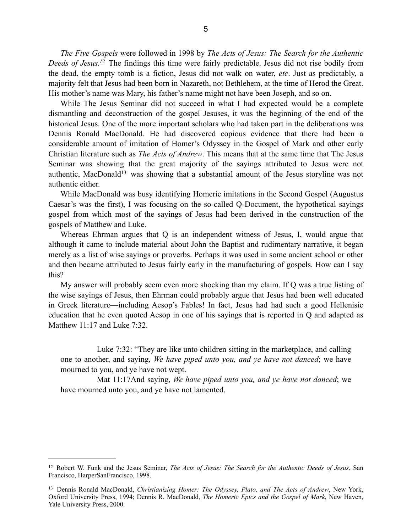*The Five Gospels* were followed in 1998 by *The Acts of Jesus: The Search for the Authentic Deeds of Jesus[.12](#page-4-0)* The findings this time were fairly predictable. Jesus did not rise bodily from the dead, the empty tomb is a fiction, Jesus did not walk on water, *etc*. Just as predictably, a majority felt that Jesus had been born in Nazareth, not Bethlehem, at the time of Herod the Great. His mother's name was Mary, his father's name might not have been Joseph, and so on.

 While The Jesus Seminar did not succeed in what I had expected would be a complete dismantling and deconstruction of the gospel Jesuses, it was the beginning of the end of the historical Jesus. One of the more important scholars who had taken part in the deliberations was Dennis Ronald MacDonald. He had discovered copious evidence that there had been a considerable amount of imitation of Homer's Odyssey in the Gospel of Mark and other early Christian literature such as *The Acts of Andrew*. This means that at the same time that The Jesus Seminar was showing that the great majority of the sayings attributed to Jesus were not authentic, MacDonal[d13](#page-4-1) was showing that a substantial amount of the Jesus storyline was not authentic either.

 While MacDonald was busy identifying Homeric imitations in the Second Gospel (Augustus Caesar's was the first), I was focusing on the so-called Q-Document, the hypothetical sayings gospel from which most of the sayings of Jesus had been derived in the construction of the gospels of Matthew and Luke.

 Whereas Ehrman argues that Q is an independent witness of Jesus, I, would argue that although it came to include material about John the Baptist and rudimentary narrative, it began merely as a list of wise sayings or proverbs. Perhaps it was used in some ancient school or other and then became attributed to Jesus fairly early in the manufacturing of gospels. How can I say this?

 My answer will probably seem even more shocking than my claim. If Q was a true listing of the wise sayings of Jesus, then Ehrman could probably argue that Jesus had been well educated in Greek literature—including Aesop's Fables! In fact, Jesus had had such a good Hellenisic education that he even quoted Aesop in one of his sayings that is reported in Q and adapted as Matthew 11:17 and Luke 7:32.

Luke 7:32: "They are like unto children sitting in the marketplace, and calling one to another, and saying, *We have piped unto you, and ye have not danced*; we have mourned to you, and ye have not wept.

 Mat 11:17And saying, *We have piped unto you, and ye have not danced*; we have mourned unto you, and ye have not lamented.

<span id="page-4-0"></span><sup>12</sup> Robert W. Funk and the Jesus Seminar, *The Acts of Jesus: The Search for the Authentic Deeds of Jesus*, San Francisco, HarperSanFrancisco, 1998.

<span id="page-4-1"></span><sup>13</sup> Dennis Ronald MacDonald, *Christianizing Homer: The Odyssey, Plato, and The Acts of Andrew*, New York, Oxford University Press, 1994; Dennis R. MacDonald, *The Homeric Epics and the Gospel of Mark*, New Haven, Yale University Press, 2000.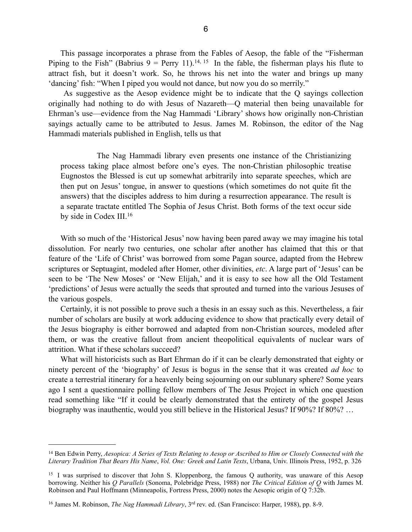This passage incorporates a phrase from the Fables of Aesop, the fable of the "Fisherman Piping to the Fish" (Babrius 9 = Perry 11).<sup>[14](#page-5-0), [15](#page-5-1)</sup> In the fable, the fisherman plays his flute to attract fish, but it doesn't work. So, he throws his net into the water and brings up many 'dancing' fish: "When I piped you would not dance, but now you do so merrily."

 As suggestive as the Aesop evidence might be to indicate that the Q sayings collection originally had nothing to do with Jesus of Nazareth—Q material then being unavailable for Ehrman's use—evidence from the Nag Hammadi 'Library' shows how originally non-Christian sayings actually came to be attributed to Jesus. James M. Robinson, the editor of the Nag Hammadi materials published in English, tells us that

 The Nag Hammadi library even presents one instance of the Christianizing process taking place almost before one's eyes. The non-Christian philosophic treatise Eugnostos the Blessed is cut up somewhat arbitrarily into separate speeches, which are then put on Jesus' tongue, in answer to questions (which sometimes do not quite fit the answers) that the disciples address to him during a resurrection appearance. The result is a separate tractate entitled The Sophia of Jesus Christ. Both forms of the text occur side by side in Codex III.[16](#page-5-2)

 With so much of the 'Historical Jesus' now having been pared away we may imagine his total dissolution. For nearly two centuries, one scholar after another has claimed that this or that feature of the 'Life of Christ' was borrowed from some Pagan source, adapted from the Hebrew scriptures or Septuagint, modeled after Homer, other divinities, *etc*. A large part of 'Jesus' can be seen to be 'The New Moses' or 'New Elijah,' and it is easy to see how all the Old Testament 'predictions' of Jesus were actually the seeds that sprouted and turned into the various Jesuses of the various gospels.

 Certainly, it is not possible to prove such a thesis in an essay such as this. Nevertheless, a fair number of scholars are busily at work adducing evidence to show that practically every detail of the Jesus biography is either borrowed and adapted from non-Christian sources, modeled after them, or was the creative fallout from ancient theopolitical equivalents of nuclear wars of attrition. What if these scholars succeed?

 What will historicists such as Bart Ehrman do if it can be clearly demonstrated that eighty or ninety percent of the 'biography' of Jesus is bogus in the sense that it was created *ad hoc* to create a terrestrial itinerary for a heavenly being sojourning on our sublunary sphere? Some years ago I sent a questionnaire polling fellow members of The Jesus Project in which one question read something like "If it could be clearly demonstrated that the entirety of the gospel Jesus biography was inauthentic, would you still believe in the Historical Jesus? If 90%? If 80%? ...

<span id="page-5-0"></span><sup>14</sup> Ben Edwin Perry, *Aesopica: A Series of Texts Relating to Aesop or Ascribed to Him or Closely Connected with the Literary Tradition That Bears His Name*, *Vol. One: Greek and Latin Texts*, Urbana, Univ. Illinois Press, 1952, p. 326

<span id="page-5-1"></span><sup>&</sup>lt;sup>15</sup> I was surprised to discover that John S. Kloppenborg, the famous Q authority, was unaware of this Aesop borrowing. Neither his *Q Parallels* (Sonoma, Polebridge Press, 1988) nor *The Critical Edition of Q* with James M. Robinson and Paul Hoffmann (Minneapolis, Fortress Press, 2000) notes the Aesopic origin of Q 7:32b.

<span id="page-5-2"></span><sup>16</sup> James M. Robinson, *The Nag Hammadi Library*, 3rd rev. ed. (San Francisco: Harper, 1988), pp. 8-9.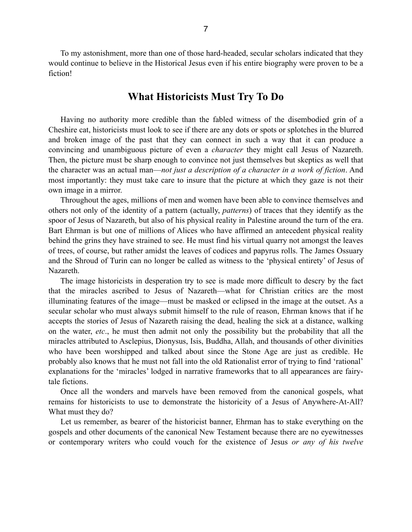To my astonishment, more than one of those hard-headed, secular scholars indicated that they would continue to believe in the Historical Jesus even if his entire biography were proven to be a fiction!

## **What Historicists Must Try To Do**

 Having no authority more credible than the fabled witness of the disembodied grin of a Cheshire cat, historicists must look to see if there are any dots or spots or splotches in the blurred and broken image of the past that they can connect in such a way that it can produce a convincing and unambiguous picture of even a *character* they might call Jesus of Nazareth. Then, the picture must be sharp enough to convince not just themselves but skeptics as well that the character was an actual man—*not just a description of a character in a work of fiction*. And most importantly: they must take care to insure that the picture at which they gaze is not their own image in a mirror.

 Throughout the ages, millions of men and women have been able to convince themselves and others not only of the identity of a pattern (actually, *patterns*) of traces that they identify as the spoor of Jesus of Nazareth, but also of his physical reality in Palestine around the turn of the era. Bart Ehrman is but one of millions of Alices who have affirmed an antecedent physical reality behind the grins they have strained to see. He must find his virtual quarry not amongst the leaves of trees, of course, but rather amidst the leaves of codices and papyrus rolls. The James Ossuary and the Shroud of Turin can no longer be called as witness to the 'physical entirety' of Jesus of Nazareth.

 The image historicists in desperation try to see is made more difficult to descry by the fact that the miracles ascribed to Jesus of Nazareth—what for Christian critics are the most illuminating features of the image—must be masked or eclipsed in the image at the outset. As a secular scholar who must always submit himself to the rule of reason, Ehrman knows that if he accepts the stories of Jesus of Nazareth raising the dead, healing the sick at a distance, walking on the water, *etc*., he must then admit not only the possibility but the probability that all the miracles attributed to Asclepius, Dionysus, Isis, Buddha, Allah, and thousands of other divinities who have been worshipped and talked about since the Stone Age are just as credible. He probably also knows that he must not fall into the old Rationalist error of trying to find 'rational' explanations for the 'miracles' lodged in narrative frameworks that to all appearances are fairytale fictions.

 Once all the wonders and marvels have been removed from the canonical gospels, what remains for historicists to use to demonstrate the historicity of a Jesus of Anywhere-At-All? What must they do?

 Let us remember, as bearer of the historicist banner, Ehrman has to stake everything on the gospels and other documents of the canonical New Testament because there are no eyewitnesses or contemporary writers who could vouch for the existence of Jesus *or any of his twelve*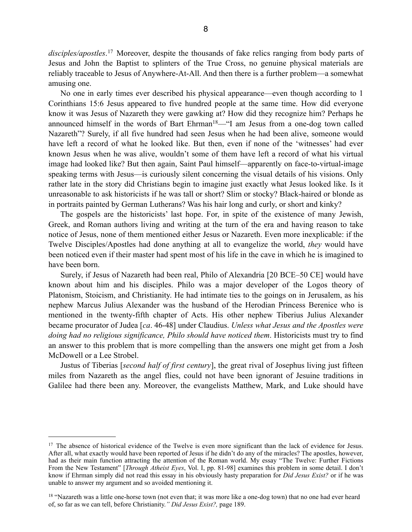*disciples/apostles*. [17](#page-7-0) Moreover, despite the thousands of fake relics ranging from body parts of Jesus and John the Baptist to splinters of the True Cross, no genuine physical materials are reliably traceable to Jesus of Anywhere-At-All. And then there is a further problem—a somewhat amusing one.

 No one in early times ever described his physical appearance—even though according to 1 Corinthians 15:6 Jesus appeared to five hundred people at the same time. How did everyone know it was Jesus of Nazareth they were gawking at? How did they recognize him? Perhaps he announced himself in the words of Bart Ehrman<sup>[18](#page-7-1)</sup>—"I am Jesus from a one-dog town called Nazareth"? Surely, if all five hundred had seen Jesus when he had been alive, someone would have left a record of what he looked like. But then, even if none of the 'witnesses' had ever known Jesus when he was alive, wouldn't some of them have left a record of what his virtual image had looked like? But then again, Saint Paul himself—apparently on face-to-virtual-image speaking terms with Jesus—is curiously silent concerning the visual details of his visions. Only rather late in the story did Christians begin to imagine just exactly what Jesus looked like. Is it unreasonable to ask historicists if he was tall or short? Slim or stocky? Black-haired or blonde as in portraits painted by German Lutherans? Was his hair long and curly, or short and kinky?

 The gospels are the historicists' last hope. For, in spite of the existence of many Jewish, Greek, and Roman authors living and writing at the turn of the era and having reason to take notice of Jesus, none of them mentioned either Jesus or Nazareth. Even more inexplicable: if the Twelve Disciples/Apostles had done anything at all to evangelize the world, *they* would have been noticed even if their master had spent most of his life in the cave in which he is imagined to have been born.

 Surely, if Jesus of Nazareth had been real, Philo of Alexandria [20 BCE–50 CE] would have known about him and his disciples. Philo was a major developer of the Logos theory of Platonism, Stoicism, and Christianity. He had intimate ties to the goings on in Jerusalem, as his nephew Marcus Julius Alexander was the husband of the Herodian Princess Berenice who is mentioned in the twenty-fifth chapter of Acts. His other nephew Tiberius Julius Alexander became procurator of Judea [*ca*. 46-48] under Claudius. *Unless what Jesus and the Apostles were doing had no religious significance, Philo should have noticed them*. Historicists must try to find an answer to this problem that is more compelling than the answers one might get from a Josh McDowell or a Lee Strobel.

 Justus of Tiberias [*second half of first century*], the great rival of Josephus living just fifteen miles from Nazareth as the angel flies, could not have been ignorant of Jesuine traditions in Galilee had there been any. Moreover, the evangelists Matthew, Mark, and Luke should have

<span id="page-7-0"></span><sup>&</sup>lt;sup>17</sup> The absence of historical evidence of the Twelve is even more significant than the lack of evidence for Jesus. After all, what exactly would have been reported of Jesus if he didn't do any of the miracles? The apostles, however, had as their main function attracting the attention of the Roman world. My essay "The Twelve: Further Fictions From the New Testament" [*Through Atheist Eyes*, Vol. I, pp. 81-98] examines this problem in some detail. I don't know if Ehrman simply did not read this essay in his obviously hasty preparation for *Did Jesus Exist?* or if he was unable to answer my argument and so avoided mentioning it.

<span id="page-7-1"></span><sup>&</sup>lt;sup>18</sup> "Nazareth was a little one-horse town (not even that; it was more like a one-dog town) that no one had ever heard of, so far as we can tell, before Christianity.*" Did Jesus Exist?,* page 189.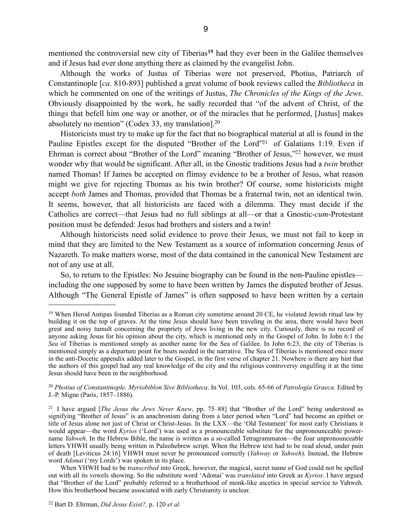mentioned the controversial new city of Tiberias**[19](#page-8-0)** had they ever been in the Galilee themselves and if Jesus had ever done anything there as claimed by the evangelist John.

 Although the works of Justus of Tiberias were not preserved, Photius, Patriarch of Constantinople [*ca*. 810-893] published a great volume of book reviews called the *Bibliotheca* in which he commented on one of the writings of Justus, *The Chronicles of the Kings of the Jews*. Obviously disappointed by the work, he sadly recorded that "of the advent of Christ, of the things that befell him one way or another, or of the miracles that he performed, [Justus] makes absolutely no mention" (Codex 33, my translation][.20](#page-8-1)

 Historicists must try to make up for the fact that no biographical material at all is found in the Pauline Epistles except for the disputed "Brother of the Lord["21](#page-8-2) of Galatians 1:19. Even if Ehrman is correct about "Brother of the Lord" meaning "Brother of Jesus,["22](#page-8-3) however, we must wonder why that would be significant. After all, in the Gnostic traditions Jesus had a *twin* brother named Thomas! If James be accepted on flimsy evidence to be a brother of Jesus, what reason might we give for rejecting Thomas as his twin brother? Of course, some historicists might accept *both* James and Thomas, provided that Thomas be a fraternal twin, not an identical twin. It seems, however, that all historicists are faced with a dilemma. They must decide if the Catholics are correct—that Jesus had no full siblings at all—or that a Gnostic-*cum*-Protestant position must be defended: Jesus had brothers and sisters and a twin!

 Although historicists need solid evidence to prove their Jesus, we must not fail to keep in mind that they are limited to the New Testament as a source of information concerning Jesus of Nazareth. To make matters worse, most of the data contained in the canonical New Testament are not of any use at all.

 So, to return to the Epistles: No Jesuine biography can be found in the non-Pauline epistles including the one supposed by some to have been written by James the disputed brother of Jesus. Although "The General Epistle of James" is often supposed to have been written by a certain

<span id="page-8-1"></span><sup>20</sup> *Photius of Constantinople. Myriobiblon Sive Bibliotheca*. In Vol. 103, cols. 65-66 of *Patrologia Graeca.* Edited by J.-P. Migne (Paris, 1857–1886).

<span id="page-8-0"></span><sup>19</sup> When Herod Antipas founded Tiberias as a Roman city sometime around 20 CE, he violated Jewish ritual law by building it on the top of graves. At the time Jesus should have been traveling in the area, there would have been great and noisy tumult concerning the propriety of Jews living in the new city. Curiously, there is no record of anyone asking Jesus for his opinion about the city, which is mentioned only in the Gospel of John. In John 6:1 the *Sea* of Tiberias is mentioned simply as another name for the Sea of Galilee. In John 6:23, the city of Tiberias is mentioned simply as a departure point for boats needed in the narrative. The Sea of Tiberias is mentioned once more in the anti-Docetic appendix added later to the Gospel, in the first verse of chapter 21. Nowhere is there any hint that the authors of this gospel had any real knowledge of the city and the religious controversy engulfing it at the time Jesus should have been in the neighborhood.

<span id="page-8-2"></span><sup>21</sup> I have argued [*The Jesus the Jews Never Knew*, pp. 75–88] that "Brother of the Lord" being understood as signifying "Brother of Jesus" is an anachronism dating from a later period when "Lord" had become an epithet or title of Jesus alone not just of Christ or Christ-Jesus. In the LXX—the 'Old Testament' for most early Christians it would appear—the word *Kyrios* ('Lord') was used as a pronounceable substitute for the unpronounceable powername *Yahweh*. In the Hebrew Bible, the name is written as a so-called Tetragrammaton—the four unpronounceable letters YHWH usually being written in Paleohebrew script. When the Hebrew text had to be read aloud, under pain of death [Leviticus 24:16] YHWH must never be pronounced correctly (*Yahway* or *Yahweh*). Instead, the Hebrew word *Adonai* ('my Lords') was spoken in its place.

<span id="page-8-3"></span>When YHWH had to be *transcribed* into Greek, however, the magical, secret name of God could not be spelled out with all its vowels showing. So the substitute word 'Adonai' was *translated* into Greek as *Kyrios*. I have argued that "Brother of the Lord" probably referred to a brotherhood of monk-like ascetics in special service to Yahweh. How this brotherhood became associated with early Christianity is unclear.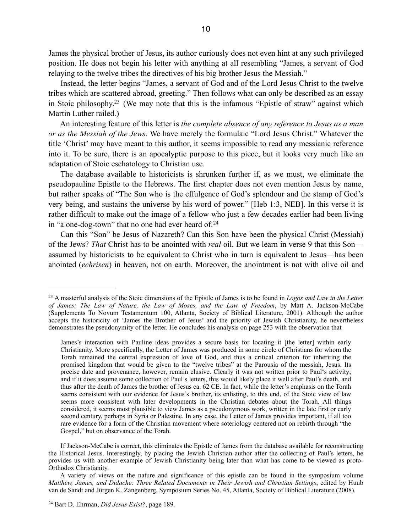James the physical brother of Jesus, its author curiously does not even hint at any such privileged position. He does not begin his letter with anything at all resembling "James, a servant of God relaying to the twelve tribes the directives of his big brother Jesus the Messiah."

 Instead, the letter begins "James, a servant of God and of the Lord Jesus Christ to the twelve tribes which are scattered abroad, greeting." Then follows what can only be described as an essay in Stoic philosophy.[23](#page-9-0) (We may note that this is the infamous "Epistle of straw" against which Martin Luther railed.)

 An interesting feature of this letter is *the complete absence of any reference to Jesus as a man or as the Messiah of the Jews*. We have merely the formulaic "Lord Jesus Christ." Whatever the title 'Christ' may have meant to this author, it seems impossible to read any messianic reference into it. To be sure, there is an apocalyptic purpose to this piece, but it looks very much like an adaptation of Stoic eschatology to Christian use.

 The database available to historicists is shrunken further if, as we must, we eliminate the pseudopauline Epistle to the Hebrews. The first chapter does not even mention Jesus by name, but rather speaks of "The Son who is the effulgence of God's splendour and the stamp of God's very being, and sustains the universe by his word of power." [Heb 1:3, NEB]. In this verse it is rather difficult to make out the image of a fellow who just a few decades earlier had been living in "a one-dog-town" that no one had ever heard of.[24](#page-9-1)

 Can this "Son" be Jesus of Nazareth? Can this Son have been the physical Christ (Messiah) of the Jews? *That* Christ has to be anointed with *real* oil. But we learn in verse 9 that this Son assumed by historicists to be equivalent to Christ who in turn is equivalent to Jesus—has been anointed (*echrisen*) in heaven, not on earth. Moreover, the anointment is not with olive oil and

 If Jackson-McCabe is correct, this eliminates the Epistle of James from the database available for reconstructing the Historical Jesus. Interestingly, by placing the Jewish Christian author after the collecting of Paul's letters, he provides us with another example of Jewish Christianity being later than what has come to be viewed as proto-Orthodox Christianity.

<span id="page-9-1"></span> A variety of views on the nature and significance of this epistle can be found in the symposium volume *Matthew, James, and Didache: Three Related Documents in Their Jewish and Christian Settings*, edited by Huub van de Sandt and Jürgen K. Zangenberg, Symposium Series No. 45, Atlanta, Society of Biblical Literature (2008).

<span id="page-9-0"></span><sup>23</sup> A masterful analysis of the Stoic dimensions of the Epistle of James is to be found in *Logos and Law in the Letter of James: The Law of Nature, the Law of Moses, and the Law of Freedom*, by Matt A. Jackson-McCabe (Supplements To Novum Testamentum 100, Atlanta, Society of Biblical Literature, 2001). Although the author accepts the historicity of 'James the Brother of Jesus' and the priority of Jewish Christianity, he nevertheless demonstrates the pseudonymity of the letter. He concludes his analysis on page 253 with the observation that

James's interaction with Pauline ideas provides a secure basis for locating it [the letter] within early Christianity. More specifically, the Letter of James was produced in some circle of Christians for whom the Torah remained the central expression of love of God, and thus a critical criterion for inheriting the promised kingdom that would be given to the "twelve tribes" at the Parousia of the messiah, Jesus. Its precise date and provenance, however, remain elusive. Clearly it was not written prior to Paul's activity; and if it does assume some collection of Paul's letters, this would likely place it well after Paul's death, and thus after the death of James the brother of Jesus ca. 62 CE. In fact, while the letter's emphasis on the Torah seems consistent with our evidence for Jesus's brother, its enlisting, to this end, of the Stoic view of law seems more consistent with later developments in the Christian debates about the Torah. All things considered, it seems most plausible to view James as a pseudonymous work, written in the late first or early second century, perhaps in Syria or Palestine. In any case, the Letter of James provides important, if all too rare evidence for a form of the Christian movement where soteriology centered not on rebirth through "the Gospel," but on observance of the Torah.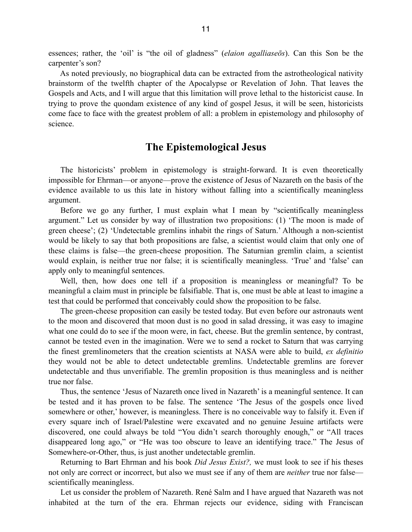essences; rather, the 'oil' is "the oil of gladness" (*elaion agalliaseōs*). Can this Son be the carpenter's son?

 As noted previously, no biographical data can be extracted from the astrotheological nativity brainstorm of the twelfth chapter of the Apocalypse or Revelation of John. That leaves the Gospels and Acts, and I will argue that this limitation will prove lethal to the historicist cause. In trying to prove the quondam existence of any kind of gospel Jesus, it will be seen, historicists come face to face with the greatest problem of all: a problem in epistemology and philosophy of science.

## **The Epistemological Jesus**

 The historicists' problem in epistemology is straight-forward. It is even theoretically impossible for Ehrman—or anyone—prove the existence of Jesus of Nazareth on the basis of the evidence available to us this late in history without falling into a scientifically meaningless argument.

 Before we go any further, I must explain what I mean by "scientifically meaningless argument." Let us consider by way of illustration two propositions: (1) 'The moon is made of green cheese'; (2) 'Undetectable gremlins inhabit the rings of Saturn.' Although a non-scientist would be likely to say that both propositions are false, a scientist would claim that only one of these claims is false—the green-cheese proposition. The Saturnian gremlin claim, a scientist would explain, is neither true nor false; it is scientifically meaningless. 'True' and 'false' can apply only to meaningful sentences.

 Well, then, how does one tell if a proposition is meaningless or meaningful? To be meaningful a claim must in principle be falsifiable. That is, one must be able at least to imagine a test that could be performed that conceivably could show the proposition to be false.

 The green-cheese proposition can easily be tested today. But even before our astronauts went to the moon and discovered that moon dust is no good in salad dressing, it was easy to imagine what one could do to see if the moon were, in fact, cheese. But the gremlin sentence, by contrast, cannot be tested even in the imagination. Were we to send a rocket to Saturn that was carrying the finest gremlinometers that the creation scientists at NASA were able to build, *ex definitio* they would not be able to detect undetectable gremlins. Undetectable gremlins are forever undetectable and thus unverifiable. The gremlin proposition is thus meaningless and is neither true nor false.

 Thus, the sentence 'Jesus of Nazareth once lived in Nazareth' is a meaningful sentence. It can be tested and it has proven to be false. The sentence 'The Jesus of the gospels once lived somewhere or other,' however, is meaningless. There is no conceivable way to falsify it. Even if every square inch of Israel/Palestine were excavated and no genuine Jesuine artifacts were discovered, one could always be told "You didn't search thoroughly enough," or "All traces disappeared long ago," or "He was too obscure to leave an identifying trace." The Jesus of Somewhere-or-Other, thus, is just another undetectable gremlin.

 Returning to Bart Ehrman and his book *Did Jesus Exist?,* we must look to see if his theses not only are correct or incorrect, but also we must see if any of them are *neither* true nor false scientifically meaningless.

 Let us consider the problem of Nazareth. René Salm and I have argued that Nazareth was not inhabited at the turn of the era. Ehrman rejects our evidence, siding with Franciscan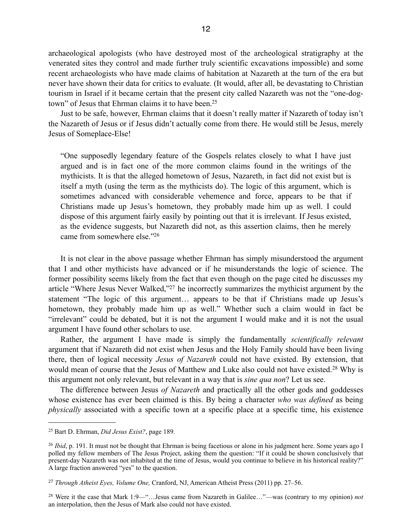archaeological apologists (who have destroyed most of the archeological stratigraphy at the venerated sites they control and made further truly scientific excavations impossible) and some recent archaeologists who have made claims of habitation at Nazareth at the turn of the era but never have shown their data for critics to evaluate. (It would, after all, be devastating to Christian tourism in Israel if it became certain that the present city called Nazareth was not the "one-dogtown" of Jesus that Ehrman claims it to have been.<sup>25</sup>

 Just to be safe, however, Ehrman claims that it doesn't really matter if Nazareth of today isn't the Nazareth of Jesus or if Jesus didn't actually come from there. He would still be Jesus, merely Jesus of Someplace-Else!

"One supposedly legendary feature of the Gospels relates closely to what I have just argued and is in fact one of the more common claims found in the writings of the mythicists. It is that the alleged hometown of Jesus, Nazareth, in fact did not exist but is itself a myth (using the term as the mythicists do). The logic of this argument, which is sometimes advanced with considerable vehemence and force, appears to be that if Christians made up Jesus's hometown, they probably made him up as well. I could dispose of this argument fairly easily by pointing out that it is irrelevant. If Jesus existed, as the evidence suggests, but Nazareth did not, as this assertion claims, then he merely came from somewhere else.["26](#page-11-1)

 It is not clear in the above passage whether Ehrman has simply misunderstood the argument that I and other mythicists have advanced or if he misunderstands the logic of science. The former possibility seems likely from the fact that even though on the page cited he discusses my article "Where Jesus Never Walked,["27](#page-11-2) he incorrectly summarizes the mythicist argument by the statement "The logic of this argument… appears to be that if Christians made up Jesus's hometown, they probably made him up as well." Whether such a claim would in fact be "irrelevant" could be debated, but it is not the argument I would make and it is not the usual argument I have found other scholars to use.

 Rather, the argument I have made is simply the fundamentally *scientifically relevant* argument that if Nazareth did not exist when Jesus and the Holy Family should have been living there, then of logical necessity *Jesus of Nazareth* could not have existed. By extension, that would mean of course that the Jesus of Matthew and Luke also could not have existed.[28](#page-11-3) Why is this argument not only relevant, but relevant in a way that is *sine qua non*? Let us see.

 The difference between Jesus *of Nazareth* and practically all the other gods and goddesses whose existence has ever been claimed is this. By being a character *who was defined* as being *physically* associated with a specific town at a specific place at a specific time, his existence

<span id="page-11-0"></span><sup>25</sup> Bart D. Ehrman, *Did Jesus Exist?*, page 189.

<span id="page-11-1"></span><sup>26</sup> *Ibid*, p. 191. It must not be thought that Ehrman is being facetious or alone in his judgment here. Some years ago I polled my fellow members of The Jesus Project, asking them the question: "If it could be shown conclusively that present-day Nazareth was not inhabited at the time of Jesus, would you continue to believe in his historical reality?" A large fraction answered "yes" to the question.

<span id="page-11-2"></span><sup>27</sup> *Through Atheist Eyes, Volume One,* Cranford, NJ, American Atheist Press (2011) pp. 27–56.

<span id="page-11-3"></span><sup>28</sup> Were it the case that Mark 1:9—"…Jesus came from Nazareth in Galilee…"—was (contrary to my opinion) *not* an interpolation, then the Jesus of Mark also could not have existed.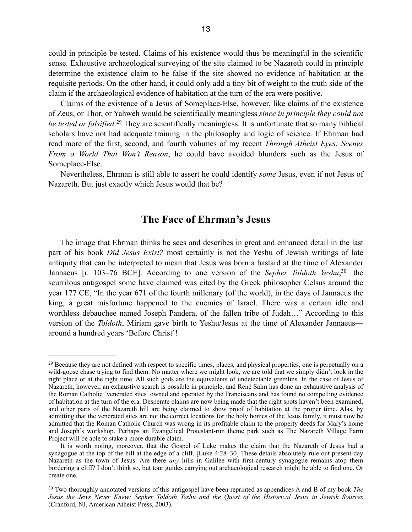could in principle be tested. Claims of his existence would thus be meaningful in the scientific sense. Exhaustive archaeological surveying of the site claimed to be Nazareth could in principle determine the existence claim to be false if the site showed no evidence of habitation at the requisite periods. On the other hand, it could only add a tiny bit of weight to the truth side of the claim if the archaeological evidence of habitation at the turn of the era were positive.

 Claims of the existence of a Jesus of Someplace-Else, however, like claims of the existence of Zeus, or Thor, or Yahweh would be scientifically meaningless *since in principle they could not be tested or falsified*. [29](#page-12-0) They are scientifically meaningless. It is unfortunate that so many biblical scholars have not had adequate training in the philosophy and logic of science. If Ehrman had read more of the first, second, and fourth volumes of my recent *Through Atheist Eyes: Scenes From a World That Won't Reason*, he could have avoided blunders such as the Jesus of Someplace-Else.

 Nevertheless, Ehrman is still able to assert he could identify *some* Jesus, even if not Jesus of Nazareth. But just exactly which Jesus would that be?

## **The Face of Ehrman's Jesus**

 The image that Ehrman thinks he sees and describes in great and enhanced detail in the last part of his book *Did Jesus Exist?* most certainly is not the Yeshu of Jewish writings of late antiquity that can be interpreted to mean that Jesus was born a bastard at the time of Alexander Jannaeus [r. 103–76 BCE]. According to one version of the *Sepher Toldoth Yeshu*, [30](#page-12-1) the scurrilous antigospel some have claimed was cited by the Greek philosopher Celsus around the year 177 CE, "In the year 671 of the fourth millenary (of the world), in the days of Jannaeus the king, a great misfortune happened to the enemies of Israel. There was a certain idle and worthless debauchee named Joseph Pandera, of the fallen tribe of Judah…" According to this version of the *Toldoth*, Miriam gave birth to Yeshu/Jesus at the time of Alexander Jannaeus around a hundred years 'Before Christ'!

<span id="page-12-0"></span><sup>&</sup>lt;sup>29</sup> Because they are not defined with respect to specific times, places, and physical properties, one is perpetually on a wild-goose chase trying to find them. No matter where we might look, we are told that we simply didn't look in the right place or at the right time. All such gods are the equivalents of undetectable gremlins. In the case of Jesus of Nazareth, however, an exhaustive search is possible in principle, and René Salm has done an exhaustive analysis of the Roman Catholic 'venerated sites' owned and operated by the Franciscans and has found no compelling evidence of habitation at the turn of the era. Desperate claims are now being made that the right spots haven't been examined, and other parts of the Nazareth hill are being claimed to show proof of habitation at the proper time. Alas, by admitting that the venerated sites are not the correct locations for the holy homes of the Jesus family, it must now be admitted that the Roman Catholic Church was wrong in its profitable claim to the property deeds for Mary's home and Joseph's workshop. Perhaps an Evangelical Protestant-run theme park such as The Nazareth Village Farm Project will be able to stake a more durable claim.

It is worth noting, moreover, that the Gospel of Luke makes the claim that the Nazareth of Jesus had a synagogue at the top of the hill at the edge of a cliff. [Luke 4:28–30] These details absolutely rule out present-day Nazareth as the town of Jesus. Are there *any* hills in Galilee with first-century synagogue remains atop them bordering a cliff? I don't think so, but tour guides carrying out archaeological research might be able to find one. Or create one.

<span id="page-12-1"></span><sup>30</sup> Two thoroughly annotated versions of this antigospel have been reprinted as appendices A and B of my book *The Jesus the Jews Never Knew: Sepher Toldoth Yeshu and the Quest of the Historical Jesus in Jewish Sources* (Cranford, NJ, American Atheist Press, 2003).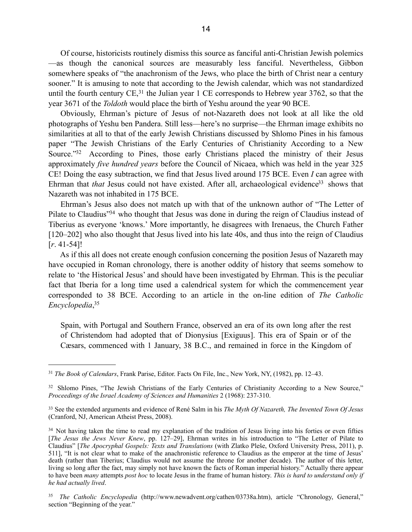Of course, historicists routinely dismiss this source as fanciful anti-Christian Jewish polemics —as though the canonical sources are measurably less fanciful. Nevertheless, Gibbon somewhere speaks of "the anachronism of the Jews, who place the birth of Christ near a century sooner." It is amusing to note that according to the Jewish calendar, which was not standardized until the fourth century  $CE$ ,<sup>[31](#page-13-0)</sup>, the Julian year 1 CE corresponds to Hebrew year 3762, so that the year 3671 of the *Toldoth* would place the birth of Yeshu around the year 90 BCE.

 Obviously, Ehrman's picture of Jesus of not-Nazareth does not look at all like the old photographs of Yeshu ben Pandera. Still less—here's no surprise—the Ehrman image exhibits no similarities at all to that of the early Jewish Christians discussed by Shlomo Pines in his famous paper "The Jewish Christians of the Early Centuries of Christianity According to a New Source."<sup>32</sup> According to Pines, those early Christians placed the ministry of their Jesus approximately *five hundred years* before the Council of Nicaea, which was held in the year 325 CE! Doing the easy subtraction, we find that Jesus lived around 175 BCE. Even *I* can agree with Ehrman that *that* Jesus could not have existed. After all, archaeological evidence<sup>33</sup> shows that Nazareth was not inhabited in 175 BCE.

 Ehrman's Jesus also does not match up with that of the unknown author of "The Letter of Pilate to Claudius["34](#page-13-3) who thought that Jesus was done in during the reign of Claudius instead of Tiberius as everyone 'knows.' More importantly, he disagrees with Irenaeus, the Church Father [120–202] who also thought that Jesus lived into his late 40s, and thus into the reign of Claudius [*r*. 41-54]!

 As if this all does not create enough confusion concerning the position Jesus of Nazareth may have occupied in Roman chronology, there is another oddity of history that seems somehow to relate to 'the Historical Jesus' and should have been investigated by Ehrman. This is the peculiar fact that Iberia for a long time used a calendrical system for which the commencement year corresponded to 38 BCE. According to an article in the on-line edition of *The Catholic Encyclopedia*, [35](#page-13-4)

Spain, with Portugal and Southern France, observed an era of its own long after the rest of Christendom had adopted that of Dionysius [Exiguus]. This era of Spain or of the Cæsars, commenced with 1 January, 38 B.C., and remained in force in the Kingdom of

<span id="page-13-4"></span><sup>35</sup> *The Catholic Encyclopedia* (http://www.newadvent.org/cathen/03738a.htm), article "Chronology, General," section "Beginning of the year."

<span id="page-13-0"></span><sup>31</sup> *The Book of Calendars*, Frank Parise, Editor. Facts On File, Inc., New York, NY, (1982), pp. 12–43.

<span id="page-13-1"></span><sup>&</sup>lt;sup>32</sup> Shlomo Pines, "The Jewish Christians of the Early Centuries of Christianity According to a New Source," *Proceedings of the Israel Academy of Sciences and Humanities* 2 (1968): 237-310.

<span id="page-13-2"></span><sup>33</sup> See the extended arguments and evidence of René Salm in his *The Myth Of Nazareth, The Invented Town Of Jesus* (Cranford, NJ, American Atheist Press, 2008).

<span id="page-13-3"></span><sup>&</sup>lt;sup>34</sup> Not having taken the time to read my explanation of the tradition of Jesus living into his forties or even fifties [*The Jesus the Jews Never Knew*, pp. 127–29], Ehrman writes in his introduction to "The Letter of Pilate to Claudius" [*The Apocryphal Gospels: Texts and Translations* (with Zlatko Pleše, Oxford University Press, 2011), p. 511], "It is not clear what to make of the anachronistic reference to Claudius as the emperor at the time of Jesus' death (rather than Tiberius; Claudius would not assume the throne for another decade). The author of this letter, living so long after the fact, may simply not have known the facts of Roman imperial history." Actually there appear to have been *many* attempts *post hoc* to locate Jesus in the frame of human history. *This is hard to understand only if he had actually lived*.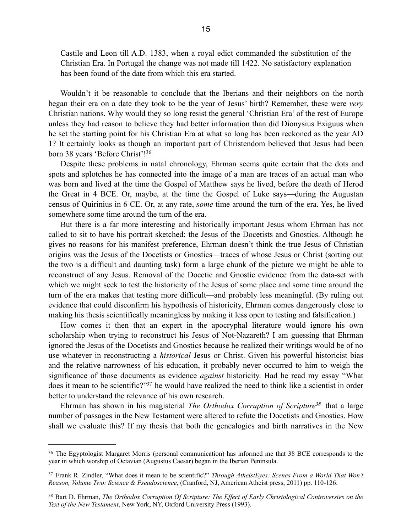Castile and Leon till A.D. 1383, when a royal edict commanded the substitution of the Christian Era. In Portugal the change was not made till 1422. No satisfactory explanation has been found of the date from which this era started.

 Wouldn't it be reasonable to conclude that the Iberians and their neighbors on the north began their era on a date they took to be the year of Jesus' birth? Remember, these were *very* Christian nations. Why would they so long resist the general 'Christian Era' of the rest of Europe unless they had reason to believe they had better information than did Dionysius Exiguus when he set the starting point for his Christian Era at what so long has been reckoned as the year AD 1? It certainly looks as though an important part of Christendom believed that Jesus had been born 38 years 'Before Christ'[!36](#page-14-0)

 Despite these problems in natal chronology, Ehrman seems quite certain that the dots and spots and splotches he has connected into the image of a man are traces of an actual man who was born and lived at the time the Gospel of Matthew says he lived, before the death of Herod the Great in 4 BCE. Or, maybe, at the time the Gospel of Luke says—during the Augustan census of Quirinius in 6 CE. Or, at any rate, *some* time around the turn of the era. Yes, he lived somewhere some time around the turn of the era.

 But there is a far more interesting and historically important Jesus whom Ehrman has not called to sit to have his portrait sketched: the Jesus of the Docetists and Gnostics. Although he gives no reasons for his manifest preference, Ehrman doesn't think the true Jesus of Christian origins was the Jesus of the Docetists or Gnostics—traces of whose Jesus or Christ (sorting out the two is a difficult and daunting task) form a large chunk of the picture we might be able to reconstruct of any Jesus. Removal of the Docetic and Gnostic evidence from the data-set with which we might seek to test the historicity of the Jesus of some place and some time around the turn of the era makes that testing more difficult—and probably less meaningful. (By ruling out evidence that could disconfirm his hypothesis of historicity, Ehrman comes dangerously close to making his thesis scientifically meaningless by making it less open to testing and falsification.)

 How comes it then that an expert in the apocryphal literature would ignore his own scholarship when trying to reconstruct his Jesus of Not-Nazareth? I am guessing that Ehrman ignored the Jesus of the Docetists and Gnostics because he realized their writings would be of no use whatever in reconstructing a *historical* Jesus or Christ. Given his powerful historicist bias and the relative narrowness of his education, it probably never occurred to him to weigh the significance of those documents as evidence *against* historicity. Had he read my essay "What does it mean to be scientific?["37](#page-14-1) he would have realized the need to think like a scientist in order better to understand the relevance of his own research.

 Ehrman has shown in his magisterial *The Orthodox Corruption of Scriptur[e38](#page-14-2)* that a large number of passages in the New Testament were altered to refute the Docetists and Gnostics. How shall we evaluate this? If my thesis that both the genealogies and birth narratives in the New

<span id="page-14-0"></span><sup>&</sup>lt;sup>36</sup> The Egyptologist Margaret Morris (personal communication) has informed me that 38 BCE corresponds to the year in which worship of Octavian (Augustus Caesar) began in the Iberian Peninsula.

<span id="page-14-1"></span><sup>37</sup> Frank R. Zindler, "What does it mean to be scientific?" *Through AtheistEyes: Scenes From a World That Won't Reason, Volume Two: Science & Pseudoscience*, (Cranford, NJ, American Atheist press, 2011) pp. 110-126.

<span id="page-14-2"></span><sup>38</sup> Bart D. Ehrman, *The Orthodox Corruption Of Scripture: The Effect of Early Christological Controversies on the Text of the New Testament*, New York, NY, Oxford University Press (1993).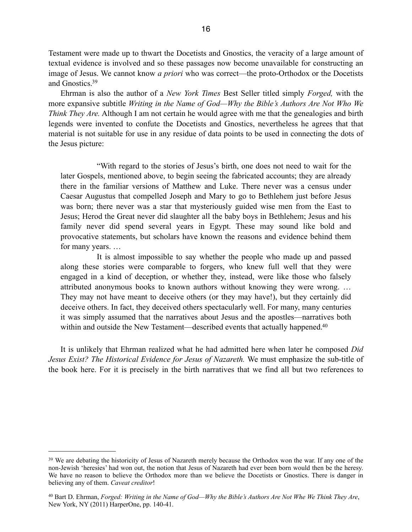Testament were made up to thwart the Docetists and Gnostics, the veracity of a large amount of textual evidence is involved and so these passages now become unavailable for constructing an image of Jesus. We cannot know *a priori* who was correct—the proto-Orthodox or the Docetists and Gnostics[.39](#page-15-0)

 Ehrman is also the author of a *New York Times* Best Seller titled simply *Forged,* with the more expansive subtitle *Writing in the Name of God—Why the Bible's Authors Are Not Who We Think They Are.* Although I am not certain he would agree with me that the genealogies and birth legends were invented to confute the Docetists and Gnostics, nevertheless he agrees that that material is not suitable for use in any residue of data points to be used in connecting the dots of the Jesus picture:

 "With regard to the stories of Jesus's birth, one does not need to wait for the later Gospels, mentioned above, to begin seeing the fabricated accounts; they are already there in the familiar versions of Matthew and Luke. There never was a census under Caesar Augustus that compelled Joseph and Mary to go to Bethlehem just before Jesus was born; there never was a star that mysteriously guided wise men from the East to Jesus; Herod the Great never did slaughter all the baby boys in Bethlehem; Jesus and his family never did spend several years in Egypt. These may sound like bold and provocative statements, but scholars have known the reasons and evidence behind them for many years. …

 It is almost impossible to say whether the people who made up and passed along these stories were comparable to forgers, who knew full well that they were engaged in a kind of deception, or whether they, instead, were like those who falsely attributed anonymous books to known authors without knowing they were wrong. … They may not have meant to deceive others (or they may have!), but they certainly did deceive others. In fact, they deceived others spectacularly well. For many, many centuries it was simply assumed that the narratives about Jesus and the apostles—narratives both within and outside the New Testament—described events that actually happened.<sup>40</sup>

 It is unlikely that Ehrman realized what he had admitted here when later he composed *Did Jesus Exist? The Historical Evidence for Jesus of Nazareth.* We must emphasize the sub-title of the book here. For it is precisely in the birth narratives that we find all but two references to

<span id="page-15-1"></span><span id="page-15-0"></span><sup>&</sup>lt;sup>39</sup> We are debating the historicity of Jesus of Nazareth merely because the Orthodox won the war. If any one of the non-Jewish 'heresies' had won out, the notion that Jesus of Nazareth had ever been born would then be the heresy. We have no reason to believe the Orthodox more than we believe the Docetists or Gnostics. There is danger in believing any of them. *Caveat creditor*!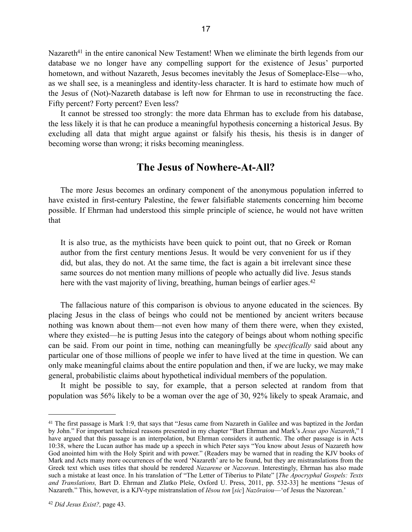Nazareth<sup>41</sup> in the entire canonical New Testament! When we eliminate the birth legends from our database we no longer have any compelling support for the existence of Jesus' purported hometown, and without Nazareth, Jesus becomes inevitably the Jesus of Someplace-Else—who, as we shall see, is a meaningless and identity-less character. It is hard to estimate how much of the Jesus of (Not)-Nazareth database is left now for Ehrman to use in reconstructing the face. Fifty percent? Forty percent? Even less?

 It cannot be stressed too strongly: the more data Ehrman has to exclude from his database, the less likely it is that he can produce a meaningful hypothesis concerning a historical Jesus. By excluding all data that might argue against or falsify his thesis, his thesis is in danger of becoming worse than wrong; it risks becoming meaningless.

#### **The Jesus of Nowhere-At-All?**

 The more Jesus becomes an ordinary component of the anonymous population inferred to have existed in first-century Palestine, the fewer falsifiable statements concerning him become possible. If Ehrman had understood this simple principle of science, he would not have written that

It is also true, as the mythicists have been quick to point out, that no Greek or Roman author from the first century mentions Jesus. It would be very convenient for us if they did, but alas, they do not. At the same time, the fact is again a bit irrelevant since these same sources do not mention many millions of people who actually did live. Jesus stands here with the vast majority of living, breathing, human beings of earlier ages.<sup>[42](#page-16-1)</sup>

 The fallacious nature of this comparison is obvious to anyone educated in the sciences. By placing Jesus in the class of beings who could not be mentioned by ancient writers because nothing was known about them—not even how many of them there were, when they existed, where they existed—he is putting Jesus into the category of beings about whom nothing specific can be said. From our point in time, nothing can meaningfully be *specifically* said about any particular one of those millions of people we infer to have lived at the time in question. We can only make meaningful claims about the entire population and then, if we are lucky, we may make general, probabilistic claims about hypothetical individual members of the population.

 It might be possible to say, for example, that a person selected at random from that population was 56% likely to be a woman over the age of 30, 92% likely to speak Aramaic, and

<span id="page-16-1"></span><span id="page-16-0"></span><sup>&</sup>lt;sup>41</sup> The first passage is Mark 1:9, that says that "Jesus came from Nazareth in Galilee and was baptized in the Jordan by John." For important technical reasons presented in my chapter "Bart Ehrman and Mark's *Jesus apo Nazareth*," I have argued that this passage is an interpolation, but Ehrman considers it authentic. The other passage is in Acts 10:38, where the Lucan author has made up a speech in which Peter says "You know about Jesus of Nazareth how God anointed him with the Holy Spirit and with power." (Readers may be warned that in reading the KJV books of Mark and Acts many more occurrences of the word 'Nazareth' are to be found, but they are mistranslations from the Greek text which uses titles that should be rendered *Nazarene* or *Nazorean*. Interestingly, Ehrman has also made such a mistake at least once. In his translation of "The Letter of Tiberius to Pilate" [*The Apocryphal Gospels: Texts and Translations,* Bart D. Ehrman and Zlatko Pleše, Oxford U. Press, 2011, pp. 532-33] he mentions "Jesus of Nazareth." This, however, is a KJV-type mistranslation of *Iēsou ton* [*sic*] *Nazōraiou*—'of Jesus the Nazorean.'